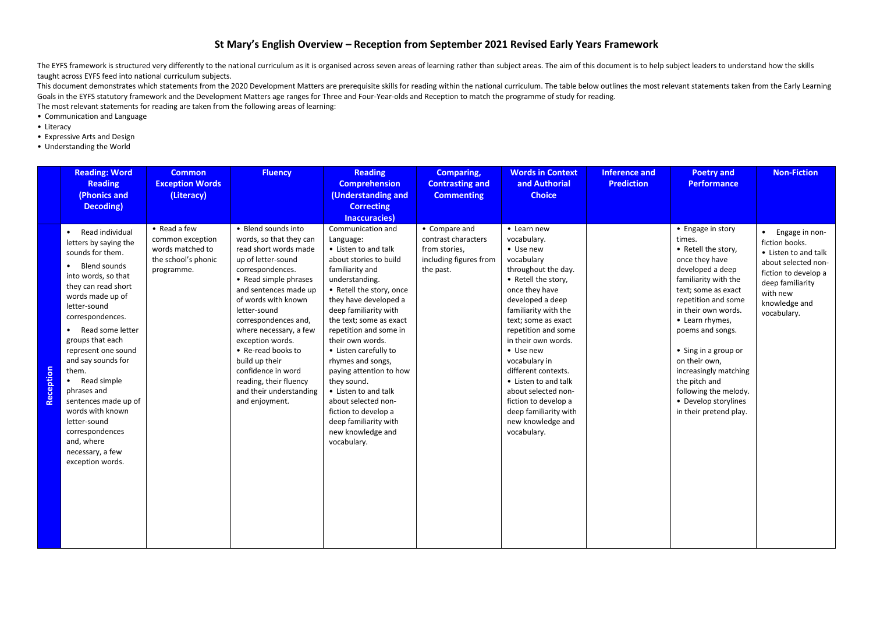## **St Mary's English Overview – Reception from September 2021 Revised Early Years Framework**

The EYFS framework is structured very differently to the national curriculum as it is organised across seven areas of learning rather than subject areas. The aim of this document is to help subject leaders to understand ho taught across EYFS feed into national curriculum subjects.

This document demonstrates which statements from the 2020 Development Matters are prerequisite skills for reading within the national curriculum. The table below outlines the most relevant statements taken from the Early L Goals in the EYFS statutory framework and the Development Matters age ranges for Three and Four-Year-olds and Reception to match the programme of study for reading.

The most relevant statements for reading are taken from the following areas of learning:

- Communication and Language
- Literacy
- Expressive Arts and Design
- Understanding the World

|           | <b>Reading: Word</b><br><b>Reading</b><br>(Phonics and<br>Decoding)                                                                                                                                                                                                                                                                                                                                                                                                                                     | <b>Common</b><br><b>Exception Words</b><br>(Literacy)                                     | <b>Fluency</b>                                                                                                                                                                                                                                                                                                                                                                                                        | <b>Reading</b><br><b>Comprehension</b><br>(Understanding and<br><b>Correcting</b><br>Inaccuracies)                                                                                                                                                                                                                                                                                                                                                                                                       | <b>Comparing,</b><br><b>Contrasting and</b><br><b>Commenting</b>                             | <b>Words in Context</b><br>and Authorial<br><b>Choice</b>                                                                                                                                                                                                                                                                                                                                                                       | <b>Inference and</b><br><b>Prediction</b> | <b>Poetry and</b><br><b>Performance</b>                                                                                                                                                                                                                                                                                                                                                    | <b>Non-Fiction</b>                                                                                                                                                        |
|-----------|---------------------------------------------------------------------------------------------------------------------------------------------------------------------------------------------------------------------------------------------------------------------------------------------------------------------------------------------------------------------------------------------------------------------------------------------------------------------------------------------------------|-------------------------------------------------------------------------------------------|-----------------------------------------------------------------------------------------------------------------------------------------------------------------------------------------------------------------------------------------------------------------------------------------------------------------------------------------------------------------------------------------------------------------------|----------------------------------------------------------------------------------------------------------------------------------------------------------------------------------------------------------------------------------------------------------------------------------------------------------------------------------------------------------------------------------------------------------------------------------------------------------------------------------------------------------|----------------------------------------------------------------------------------------------|---------------------------------------------------------------------------------------------------------------------------------------------------------------------------------------------------------------------------------------------------------------------------------------------------------------------------------------------------------------------------------------------------------------------------------|-------------------------------------------|--------------------------------------------------------------------------------------------------------------------------------------------------------------------------------------------------------------------------------------------------------------------------------------------------------------------------------------------------------------------------------------------|---------------------------------------------------------------------------------------------------------------------------------------------------------------------------|
| Reception | Read individual<br>$\bullet$<br>letters by saying the<br>sounds for them.<br>Blend sounds<br>$\bullet$<br>into words, so that<br>they can read short<br>words made up of<br>letter-sound<br>correspondences.<br>Read some letter<br>$\bullet$<br>groups that each<br>represent one sound<br>and say sounds for<br>them.<br>Read simple<br>$\bullet$<br>phrases and<br>sentences made up of<br>words with known<br>letter-sound<br>correspondences<br>and, where<br>necessary, a few<br>exception words. | • Read a few<br>common exception<br>words matched to<br>the school's phonic<br>programme. | • Blend sounds into<br>words, so that they can<br>read short words made<br>up of letter-sound<br>correspondences.<br>• Read simple phrases<br>and sentences made up<br>of words with known<br>letter-sound<br>correspondences and,<br>where necessary, a few<br>exception words.<br>• Re-read books to<br>build up their<br>confidence in word<br>reading, their fluency<br>and their understanding<br>and enjoyment. | Communication and<br>Language:<br>• Listen to and talk<br>about stories to build<br>familiarity and<br>understanding.<br>• Retell the story, once<br>they have developed a<br>deep familiarity with<br>the text; some as exact<br>repetition and some in<br>their own words.<br>• Listen carefully to<br>rhymes and songs,<br>paying attention to how<br>they sound.<br>• Listen to and talk<br>about selected non-<br>fiction to develop a<br>deep familiarity with<br>new knowledge and<br>vocabulary. | • Compare and<br>contrast characters<br>from stories,<br>including figures from<br>the past. | • Learn new<br>vocabulary.<br>• Use new<br>vocabulary<br>throughout the day.<br>• Retell the story,<br>once they have<br>developed a deep<br>familiarity with the<br>text; some as exact<br>repetition and some<br>in their own words.<br>• Use new<br>vocabulary in<br>different contexts.<br>• Listen to and talk<br>about selected non-<br>fiction to develop a<br>deep familiarity with<br>new knowledge and<br>vocabulary. |                                           | • Engage in story<br>times.<br>• Retell the story,<br>once they have<br>developed a deep<br>familiarity with the<br>text; some as exact<br>repetition and some<br>in their own words.<br>• Learn rhymes,<br>poems and songs.<br>• Sing in a group or<br>on their own,<br>increasingly matching<br>the pitch and<br>following the melody.<br>• Develop storylines<br>in their pretend play. | • Engage in non-<br>fiction books.<br>• Listen to and talk<br>about selected non-<br>fiction to develop a<br>deep familiarity<br>with new<br>knowledge and<br>vocabulary. |